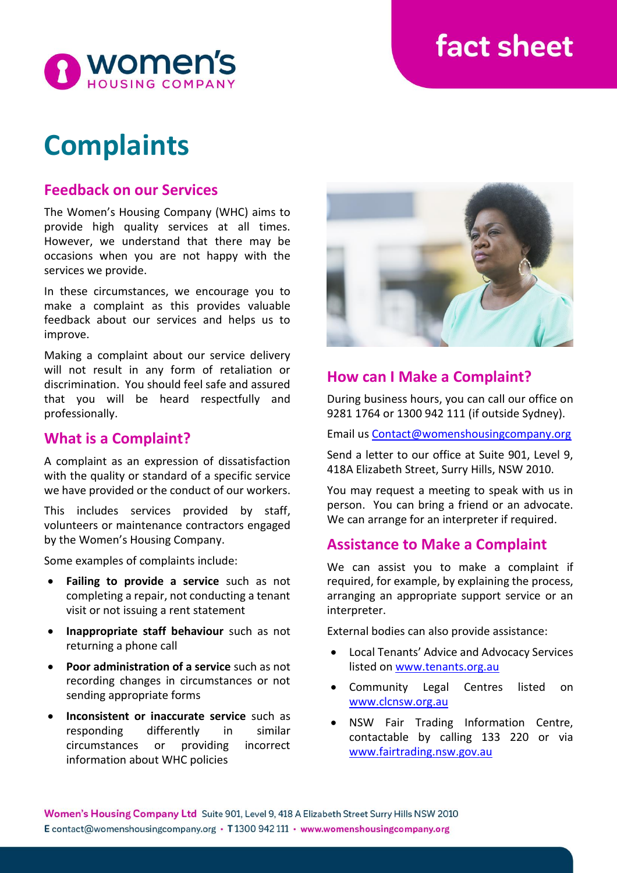# fact sheet



# **Complaints**

## **Feedback on our Services**

The Women's Housing Company (WHC) aims to provide high quality services at all times. However, we understand that there may be occasions when you are not happy with the services we provide.

In these circumstances, we encourage you to make a complaint as this provides valuable feedback about our services and helps us to improve.

Making a complaint about our service delivery will not result in any form of retaliation or discrimination. You should feel safe and assured that you will be heard respectfully and professionally.

### **What is a Complaint?**

A complaint as an expression of dissatisfaction with the quality or standard of a specific service we have provided or the conduct of our workers.

This includes services provided by staff, volunteers or maintenance contractors engaged by the Women's Housing Company.

Some examples of complaints include:

- **Failing to provide a service** such as not completing a repair, not conducting a tenant visit or not issuing a rent statement
- **Inappropriate staff behaviour** such as not returning a phone call
- **Poor administration of a service** such as not recording changes in circumstances or not sending appropriate forms
- **Inconsistent or inaccurate service** such as responding differently in similar circumstances or providing incorrect information about WHC policies



## **How can I Make a Complaint?**

During business hours, you can call our office on 9281 1764 or 1300 942 111 (if outside Sydney).

Email us [Contact@womenshousingcompany.org](mailto:Contact@womenshousingcompany.org)

Send a letter to our office at Suite 901, Level 9, 418A Elizabeth Street, Surry Hills, NSW 2010.

You may request a meeting to speak with us in person. You can bring a friend or an advocate. We can arrange for an interpreter if required.

## **Assistance to Make a Complaint**

We can assist you to make a complaint if required, for example, by explaining the process, arranging an appropriate support service or an interpreter.

External bodies can also provide assistance:

- Local Tenants' Advice and Advocacy Services listed on [www.tenants.org.au](http://www.tenants.org.au/)
- Community Legal Centres listed on [www.clcnsw.org.au](http://www.clcnsw.org.au/)
- NSW Fair Trading Information Centre, contactable by calling 133 220 or via [www.fairtrading.nsw.gov.au](http://www.fairtrading.nsw.gov.au/)